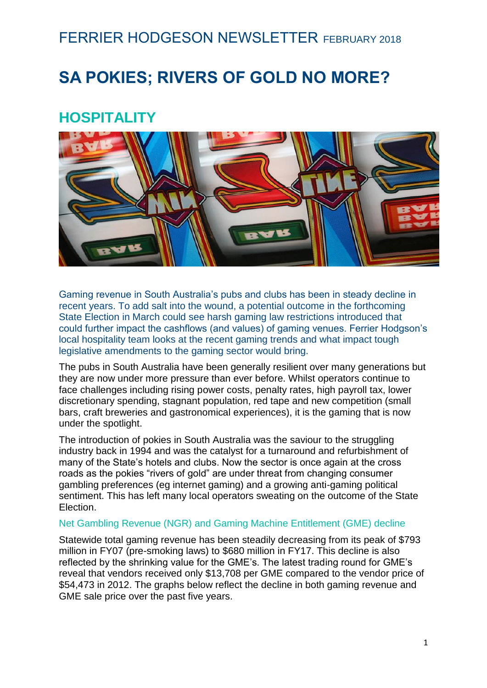## FERRIER HODGESON NEWSLETTER FEBRUARY 2018

# **SA POKIES; RIVERS OF GOLD NO MORE?**

## **HOSPITALITY**



Gaming revenue in South Australia's pubs and clubs has been in steady decline in recent years. To add salt into the wound, a potential outcome in the forthcoming State Election in March could see harsh gaming law restrictions introduced that could further impact the cashflows (and values) of gaming venues. Ferrier Hodgson's local hospitality team looks at the recent gaming trends and what impact tough legislative amendments to the gaming sector would bring.

The pubs in South Australia have been generally resilient over many generations but they are now under more pressure than ever before. Whilst operators continue to face challenges including rising power costs, penalty rates, high payroll tax, lower discretionary spending, stagnant population, red tape and new competition (small bars, craft breweries and gastronomical experiences), it is the gaming that is now under the spotlight.

The introduction of pokies in South Australia was the saviour to the struggling industry back in 1994 and was the catalyst for a turnaround and refurbishment of many of the State's hotels and clubs. Now the sector is once again at the cross roads as the pokies "rivers of gold" are under threat from changing consumer gambling preferences (eg internet gaming) and a growing anti-gaming political sentiment. This has left many local operators sweating on the outcome of the State Election.

#### Net Gambling Revenue (NGR) and Gaming Machine Entitlement (GME) decline

Statewide total gaming revenue has been steadily decreasing from its peak of \$793 million in FY07 (pre-smoking laws) to \$680 million in FY17. This decline is also reflected by the shrinking value for the GME's. The latest trading round for GME's reveal that vendors received only \$13,708 per GME compared to the vendor price of \$54,473 in 2012. The graphs below reflect the decline in both gaming revenue and GME sale price over the past five years.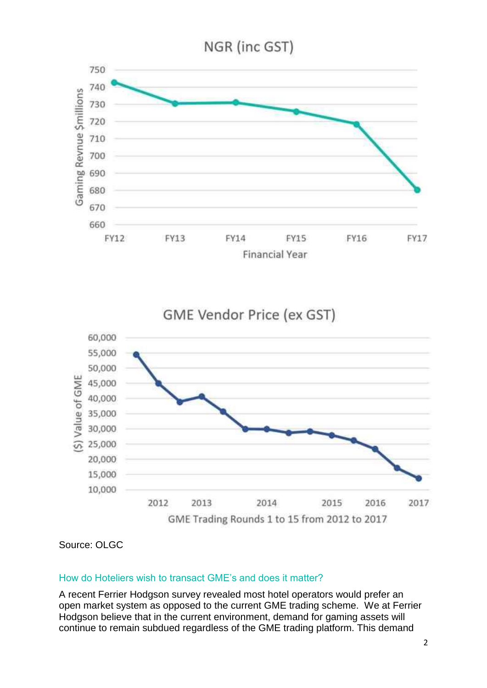





Source: OLGC

#### How do Hoteliers wish to transact GME's and does it matter?

A recent Ferrier Hodgson survey revealed most hotel operators would prefer an open market system as opposed to the current GME trading scheme. We at Ferrier Hodgson believe that in the current environment, demand for gaming assets will continue to remain subdued regardless of the GME trading platform. This demand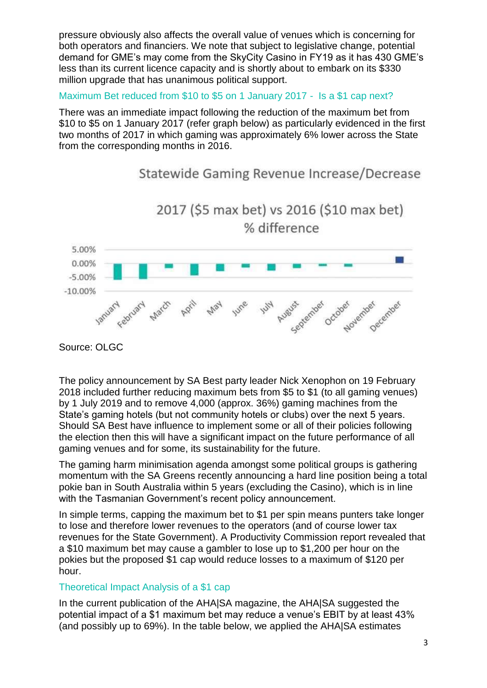pressure obviously also affects the overall value of venues which is concerning for both operators and financiers. We note that subject to legislative change, potential demand for GME's may come from the SkyCity Casino in FY19 as it has 430 GME's less than its current licence capacity and is shortly about to embark on its \$330 million upgrade that has unanimous political support.

Maximum Bet reduced from \$10 to \$5 on 1 January 2017 - Is a \$1 cap next?

There was an immediate impact following the reduction of the maximum bet from \$10 to \$5 on 1 January 2017 (refer graph below) as particularly evidenced in the first two months of 2017 in which gaming was approximately 6% lower across the State from the corresponding months in 2016.



Statewide Gaming Revenue Increase/Decrease

The policy announcement by SA Best party leader Nick Xenophon on 19 February 2018 included further reducing maximum bets from \$5 to \$1 (to all gaming venues) by 1 July 2019 and to remove 4,000 (approx. 36%) gaming machines from the State's gaming hotels (but not community hotels or clubs) over the next 5 years. Should SA Best have influence to implement some or all of their policies following the election then this will have a significant impact on the future performance of all gaming venues and for some, its sustainability for the future.

The gaming harm minimisation agenda amongst some political groups is gathering momentum with the SA Greens recently announcing a hard line position being a total pokie ban in South Australia within 5 years (excluding the Casino), which is in line with the Tasmanian Government's recent policy announcement.

In simple terms, capping the maximum bet to \$1 per spin means punters take longer to lose and therefore lower revenues to the operators (and of course lower tax revenues for the State Government). A Productivity Commission report revealed that a \$10 maximum bet may cause a gambler to lose up to \$1,200 per hour on the pokies but the proposed \$1 cap would reduce losses to a maximum of \$120 per hour.

#### Theoretical Impact Analysis of a \$1 cap

In the current publication of the AHA|SA magazine, the AHA|SA suggested the potential impact of a \$1 maximum bet may reduce a venue's EBIT by at least 43% (and possibly up to 69%). In the table below, we applied the AHA|SA estimates

Source: OLGC